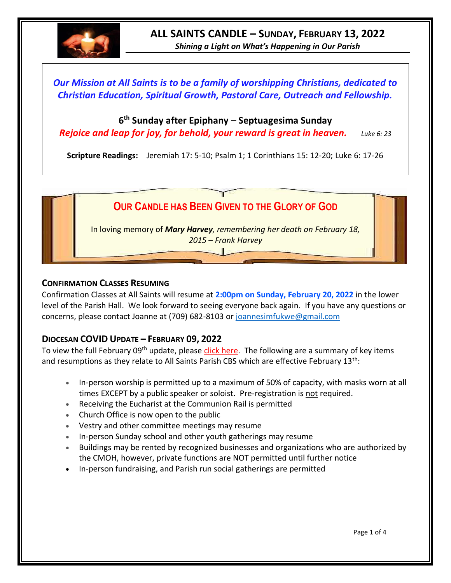

*Our Mission at All Saints is to be a family of worshipping Christians, dedicated to Christian Education, Spiritual Growth, Pastoral Care, Outreach and Fellowship.*

# **6 th Sunday after Epiphany – Septuagesima Sunday**

*Rejoice and leap for joy, for behold, your reward is great in heaven. Luke 6: 23*

**Scripture Readings:** Jeremiah 17: 5-10; Psalm 1; 1 Corinthians 15: 12-20; Luke 6: 17-26



#### **CONFIRMATION CLASSES RESUMING**

Confirmation Classes at All Saints will resume at **2:00pm on Sunday, February 20, 2022** in the lower level of the Parish Hall. We look forward to seeing everyone back again. If you have any questions or concerns, please contact Joanne at (709) 682-8103 or [joannesimfukwe@gmail.com](mailto:joannesimfukwe@gmail.com)

## **DIOCESAN COVID UPDATE – FEBRUARY 09, 2022**

To view the full February 09<sup>th</sup> update, please [click here.](https://anglicanenl.net/home/wp-content/uploads/2022/02/Guidelines-13-February-2022.pdf) The following are a summary of key items and resumptions as they relate to All Saints Parish CBS which are effective February  $13<sup>th</sup>$ :

- In-person worship is permitted up to a maximum of 50% of capacity, with masks worn at all times EXCEPT by a public speaker or soloist. Pre-registration is not required.
- Receiving the Eucharist at the Communion Rail is permitted
- Church Office is now open to the public
- Vestry and other committee meetings may resume
- In-person Sunday school and other youth gatherings may resume
- Buildings may be rented by recognized businesses and organizations who are authorized by the CMOH, however, private functions are NOT permitted until further notice
- In-person fundraising, and Parish run social gatherings are permitted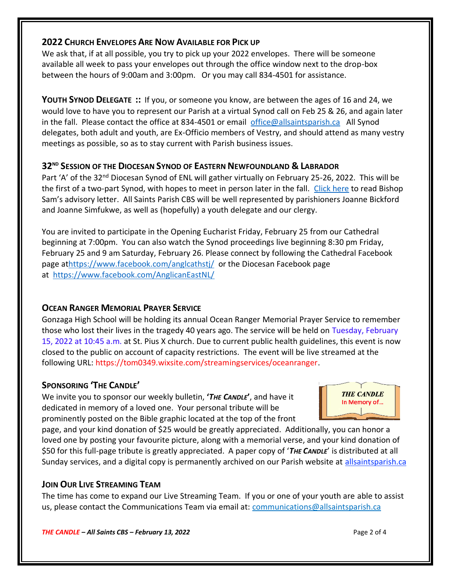### **2022 CHURCH ENVELOPES ARE NOW AVAILABLE FOR PICK UP**

We ask that, if at all possible, you try to pick up your 2022 envelopes. There will be someone available all week to pass your envelopes out through the office window next to the drop-box between the hours of 9:00am and 3:00pm. Or you may call 834-4501 for assistance.

**YOUTH SYNOD DELEGATE ::** If you, or someone you know, are between the ages of 16 and 24, we would love to have you to represent our Parish at a virtual Synod call on Feb 25 & 26, and again later in the fall. Please contact the office at 834-4501 or email [office@allsaintsparish.ca](mailto:office@allsaintsparish.ca) All Synod delegates, both adult and youth, are Ex-Officio members of Vestry, and should attend as many vestry meetings as possible, so as to stay current with Parish business issues.

## **32ND SESSION OF THE DIOCESAN SYNOD OF EASTERN NEWFOUNDLAND & LABRADOR**

Part 'A' of the 32<sup>nd</sup> Diocesan Synod of ENL will gather virtually on February 25-26, 2022. This will be the first of a two-part Synod, with hopes to meet in person later in the fall. [Click here](https://www.facebook.com/AnglicanEastNL/photos/pcb.5565092873509066/5565092763509077) to read Bishop Sam's advisory letter. All Saints Parish CBS will be well represented by parishioners Joanne Bickford and Joanne Simfukwe, as well as (hopefully) a youth delegate and our clergy.

You are invited to participate in the Opening Eucharist Friday, February 25 from our Cathedral beginning at 7:00pm. You can also watch the Synod proceedings live beginning 8:30 pm Friday, February 25 and 9 am Saturday, February 26. Please connect by following the Cathedral Facebook page a[thttps://www.facebook.com/anglcathstj/](https://www.facebook.com/anglcathstj/) or the Diocesan Facebook page at <https://www.facebook.com/AnglicanEastNL/>

## **OCEAN RANGER MEMORIAL PRAYER SERVICE**

Gonzaga High School will be holding its annual Ocean Ranger Memorial Prayer Service to remember those who lost their lives in the tragedy 40 years ago. The service will be held on Tuesday, February 15, 2022 at 10:45 a.m. at St. Pius X church. Due to current public health guidelines, this event is now closed to the public on account of capacity restrictions. The event will be live streamed at the following URL: [https://tom0349.wixsite.com/streamingservices/oceanranger.](https://tom0349.wixsite.com/streamingservices/oceanranger)

## **SPONSORING 'THE CANDLE'**

We invite you to sponsor our weekly bulletin, **'***THE CANDLE***'**, and have it dedicated in memory of a loved one. Your personal tribute will be prominently posted on the Bible graphic located at the top of the front



page, and your kind donation of \$25 would be greatly appreciated. Additionally, you can honor a loved one by posting your favourite picture, along with a memorial verse, and your kind donation of \$50 for this full-page tribute is greatly appreciated. A paper copy of '*THE CANDLE*' is distributed at all Sunday services, and a digital copy is permanently archived on our Parish website at [allsaintsparish.ca](http://allsaintsparish.ca/thecandle.html)

### **JOIN OUR LIVE STREAMING TEAM**

The time has come to expand our Live Streaming Team. If you or one of your youth are able to assist us, please contact the Communications Team via email at: [communications@allsaintsparish.ca](mailto:communications@allsaintsparish.ca?subject=Live%20Streaming%20Team)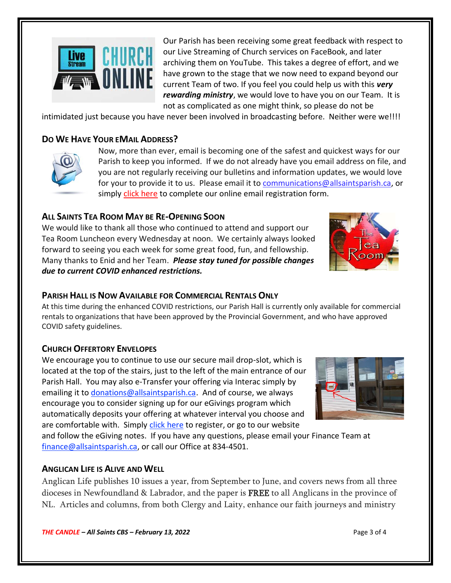

Our Parish has been receiving some great feedback with respect to our Live Streaming of Church services on FaceBook, and later archiving them on YouTube. This takes a degree of effort, and we have grown to the stage that we now need to expand beyond our current Team of two. If you feel you could help us with this *very rewarding ministry*, we would love to have you on our Team. It is not as complicated as one might think, so please do not be

intimidated just because you have never been involved in broadcasting before. Neither were we!!!!

# **DO WE HAVE YOUR EMAIL ADDRESS?**



Now, more than ever, email is becoming one of the safest and quickest ways for our Parish to keep you informed. If we do not already have you email address on file, and you are not regularly receiving our bulletins and information updates, we would love for your to provide it to us. Please email it t[o communications@allsaintsparish.ca,](mailto:communications@allsaintsparish.ca?subject=eMail%20Address%20Update) or simply [click here](http://allsaintsparish.ca/email_updates) to complete our online email registration form.

## **ALL SAINTS TEA ROOM MAY BE RE-OPENING SOON**

We would like to thank all those who continued to attend and support our Tea Room Luncheon every Wednesday at noon. We certainly always looked forward to seeing you each week for some great food, fun, and fellowship. Many thanks to Enid and her Team. *Please stay tuned for possible changes due to current COVID enhanced restrictions.*

### **PARISH HALL IS NOW AVAILABLE FOR COMMERCIAL RENTALS ONLY**

At this time during the enhanced COVID restrictions, our Parish Hall is currently only available for commercial rentals to organizations that have been approved by the Provincial Government, and who have approved COVID safety guidelines.

### **CHURCH OFFERTORY ENVELOPES**

We encourage you to continue to use our secure mail drop-slot, which is located at the top of the stairs, just to the left of the main entrance of our Parish Hall. You may also e-Transfer your offering via Interac simply by emailing it to [donations@allsaintsparish.ca.](mailto:donations@allsaintsparish.ca) And of course, we always encourage you to consider signing up for our eGivings program which automatically deposits your offering at whatever interval you choose and are comfortable with. Simply [click here](http://allsaintsparish.ca/egiving-online-information-form) to register, or go to our website

and follow the eGiving notes. If you have [any](https://wfsites-to.websitecreatorprotool.com/870a5dd5.com/Admin/%7BSK_NODEID__22939341__SK%7D) questions, please email your Finance Team at [finance@allsaintsparish.ca,](mailto:finance@allsaintsparish.ca) or call our Office at 834-4501.

### **ANGLICAN LIFE IS ALIVE AND WELL**

Anglican Life publishes 10 issues a year, from September to June, and covers news from all three dioceses in Newfoundland & Labrador, and the paper is FREE to all Anglicans in the province of NL. Articles and columns, from both Clergy and Laity, enhance our faith journeys and ministry